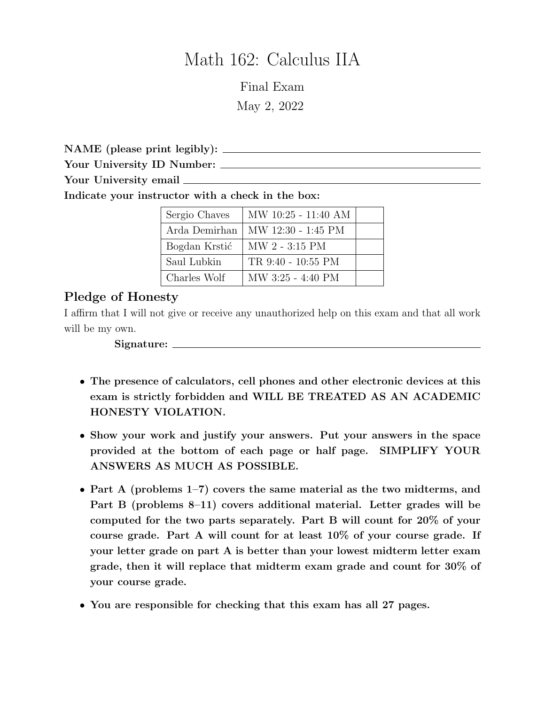# Math 162: Calculus IIA

Final Exam May 2, 2022

NAME (please print legibly):

Your University ID Number:

Your University email  $\frac{1}{\sqrt{1-\frac{1}{\sqrt{1-\frac{1}{\sqrt{1-\frac{1}{\sqrt{1-\frac{1}{\sqrt{1-\frac{1}{\sqrt{1-\frac{1}{\sqrt{1-\frac{1}{\sqrt{1-\frac{1}{\sqrt{1-\frac{1}{\sqrt{1-\frac{1}{\sqrt{1-\frac{1}{\sqrt{1-\frac{1}{\sqrt{1-\frac{1}{\sqrt{1-\frac{1}{\sqrt{1-\frac{1}{\sqrt{1-\frac{1}{\sqrt{1-\frac{1}{\sqrt{1-\frac{1}{\sqrt{1-\frac{1}{\sqrt{1-\frac{1}{\sqrt{1-\frac{1}{\sqrt{1-\$ 

Indicate your instructor with a check in the box:

| Sergio Chaves | MW 10:25 - 11:40 AM |  |
|---------------|---------------------|--|
| Arda Demirhan | MW 12:30 - 1:45 PM  |  |
| Bogdan Krstić | MW 2 - 3:15 PM      |  |
| Saul Lubkin   | TR 9:40 - 10:55 PM  |  |
| Charles Wolf  | MW 3:25 - 4:40 PM   |  |

# Pledge of Honesty

I affirm that I will not give or receive any unauthorized help on this exam and that all work will be my own.

Signature:

- The presence of calculators, cell phones and other electronic devices at this exam is strictly forbidden and WILL BE TREATED AS AN ACADEMIC HONESTY VIOLATION.
- Show your work and justify your answers. Put your answers in the space provided at the bottom of each page or half page. SIMPLIFY YOUR ANSWERS AS MUCH AS POSSIBLE.
- Part A (problems 1–7) covers the same material as the two midterms, and Part B (problems 8–11) covers additional material. Letter grades will be computed for the two parts separately. Part B will count for 20% of your course grade. Part A will count for at least 10% of your course grade. If your letter grade on part A is better than your lowest midterm letter exam grade, then it will replace that midterm exam grade and count for 30% of your course grade.
- You are responsible for checking that this exam has all 27 pages.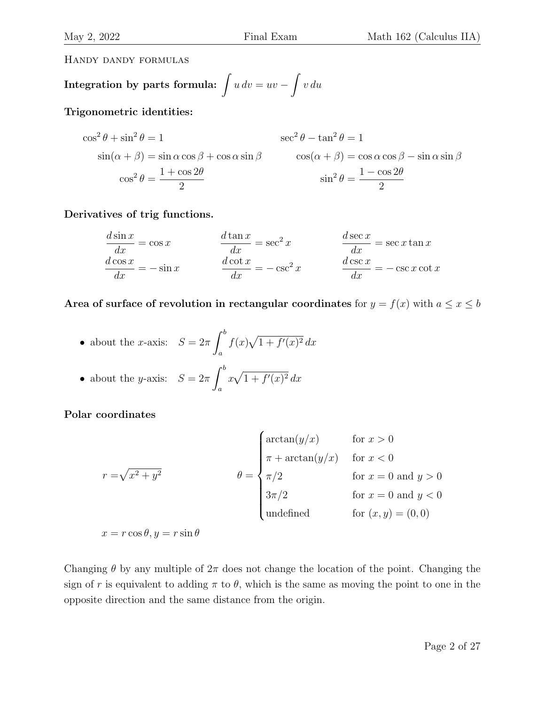Handy dandy formulas

Integration by parts formula: 
$$
\int u \, dv = uv - \int v \, du
$$

Trigonometric identities:

$$
\cos^{2} \theta + \sin^{2} \theta = 1
$$
  
\n
$$
\sin(\alpha + \beta) = \sin \alpha \cos \beta + \cos \alpha \sin \beta
$$
  
\n
$$
\cos^{2} \theta = \frac{1 + \cos 2\theta}{2}
$$
  
\n
$$
\cos^{2} \theta = \frac{1 + \cos 2\theta}{2}
$$
  
\n
$$
\sin^{2} \theta = \frac{1 - \cos 2\theta}{2}
$$

Derivatives of trig functions.

$$
\frac{d \sin x}{dx} = \cos x \qquad \qquad \frac{d \tan x}{dx} = \sec^2 x \qquad \qquad \frac{d \sec x}{dx} = \sec x \tan x
$$

$$
\frac{d \cos x}{dx} = -\sin x \qquad \qquad \frac{d \cot x}{dx} = -\csc^2 x \qquad \qquad \frac{d \csc x}{dx} = -\csc x \cot x
$$

Area of surface of revolution in rectangular coordinates for  $y = f(x)$  with  $a \le x \le b$ 

• about the *x*-axis: 
$$
S = 2\pi \int_a^b f(x)\sqrt{1 + f'(x)^2} dx
$$

• about the *y*-axis: 
$$
S = 2\pi \int_a^b x\sqrt{1 + f'(x)^2} dx
$$

Polar coordinates

$$
r = \sqrt{x^2 + y^2}
$$
\n
$$
\theta = \begin{cases}\n\arctan(y/x) & \text{for } x > 0 \\
\pi + \arctan(y/x) & \text{for } x < 0 \\
\pi/2 & \text{for } x = 0 \text{ and } y > 0 \\
3\pi/2 & \text{for } x = 0 \text{ and } y < 0 \\
\text{undefined} & \text{for } (x, y) = (0, 0)\n\end{cases}
$$

 $x = r \cos \theta, y = r \sin \theta$ 

Changing  $\theta$  by any multiple of  $2\pi$  does not change the location of the point. Changing the sign of r is equivalent to adding  $\pi$  to  $\theta$ , which is the same as moving the point to one in the opposite direction and the same distance from the origin.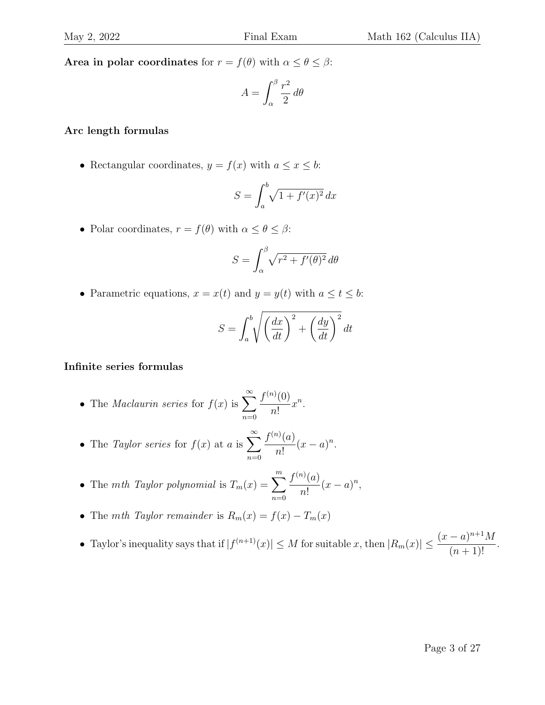Area in polar coordinates for  $r = f(\theta)$  with  $\alpha \le \theta \le \beta$ :

$$
A = \int_{\alpha}^{\beta} \frac{r^2}{2} \, d\theta
$$

#### Arc length formulas

• Rectangular coordinates,  $y = f(x)$  with  $a \le x \le b$ :

$$
S = \int_a^b \sqrt{1 + f'(x)^2} \, dx
$$

• Polar coordinates,  $r = f(\theta)$  with  $\alpha \leq \theta \leq \beta$ :

$$
S = \int_{\alpha}^{\beta} \sqrt{r^2 + f'(\theta)^2} \, d\theta
$$

• Parametric equations,  $x = x(t)$  and  $y = y(t)$  with  $a \le t \le b$ :

$$
S = \int_{a}^{b} \sqrt{\left(\frac{dx}{dt}\right)^{2} + \left(\frac{dy}{dt}\right)^{2}} dt
$$

#### Infinite series formulas

- The *Maclaurin series* for  $f(x)$  is  $\sum_{n=1}^{\infty}$  $n=0$  $f^{(n)}(0)$ n!  $x^n$ .
- The *Taylor series* for  $f(x)$  at a is  $\sum_{n=0}^{\infty}$  $n=0$  $f^{(n)}(a)$ n!  $(x-a)^n$ .
- The mth Taylor polynomial is  $T_m(x) = \sum_{m=1}^{m}$  $n=0$  $f^{(n)}(a)$ n!  $(x-a)^n$ ,
- The mth Taylor remainder is  $R_m(x) = f(x) T_m(x)$
- Taylor's inequality says that if  $|f^{(n+1)}(x)| \leq M$  for suitable x, then  $|R_m(x)| \leq \frac{(x-a)^{n+1}M}{(x-a)^{n+1}}$  $\frac{a}{(n+1)!}$ .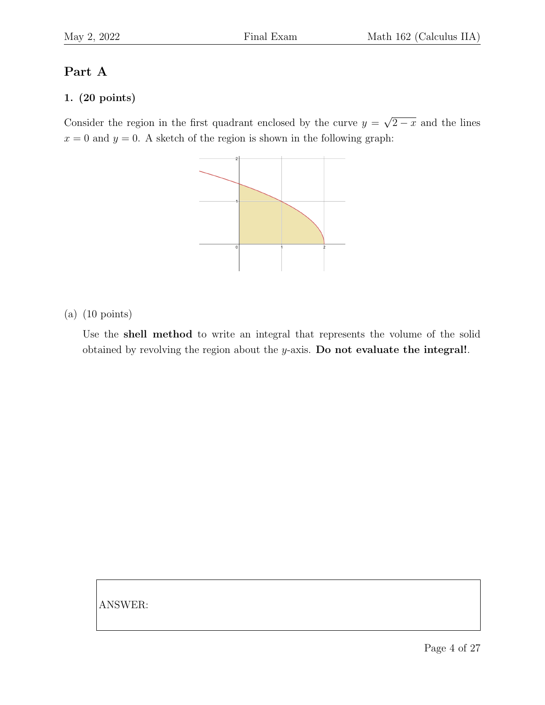# Part A

#### 1. (20 points)

Consider the region in the first quadrant enclosed by the curve  $y =$ √  $\sqrt{2-x}$  and the lines  $x = 0$  and  $y = 0$ . A sketch of the region is shown in the following graph:



(a) (10 points)

Use the shell method to write an integral that represents the volume of the solid obtained by revolving the region about the  $y$ -axis. Do not evaluate the integral!.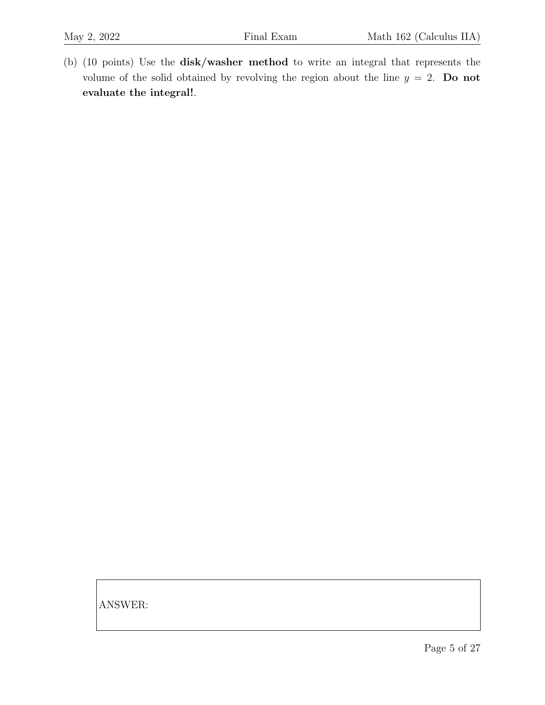(b) (10 points) Use the disk/washer method to write an integral that represents the volume of the solid obtained by revolving the region about the line  $y = 2$ . Do not evaluate the integral!.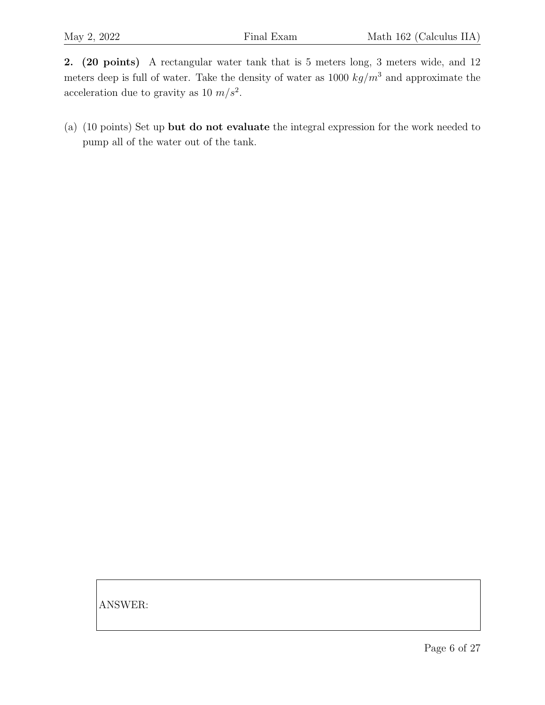2. (20 points) A rectangular water tank that is 5 meters long, 3 meters wide, and 12 meters deep is full of water. Take the density of water as 1000  $kg/m^3$  and approximate the acceleration due to gravity as 10  $m/s^2$ .

(a) (10 points) Set up but do not evaluate the integral expression for the work needed to pump all of the water out of the tank.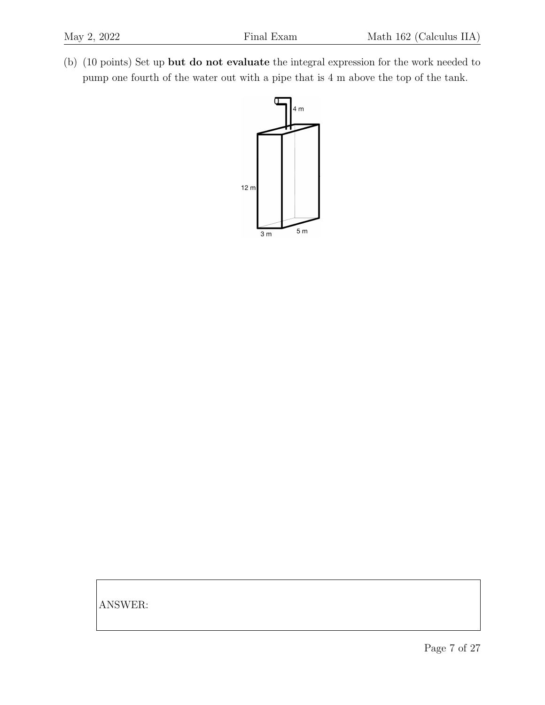(b) (10 points) Set up but do not evaluate the integral expression for the work needed to pump one fourth of the water out with a pipe that is 4 m above the top of the tank.

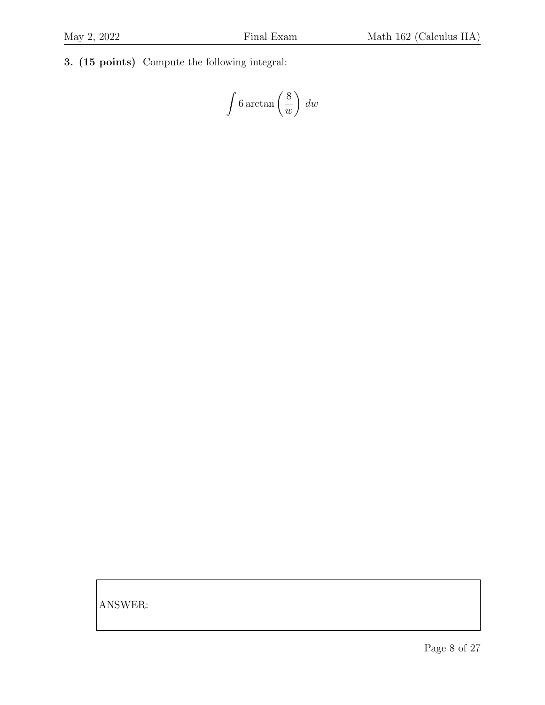3. (15 points) Compute the following integral:

$$
\int 6 \arctan\left(\frac{8}{w}\right) dw
$$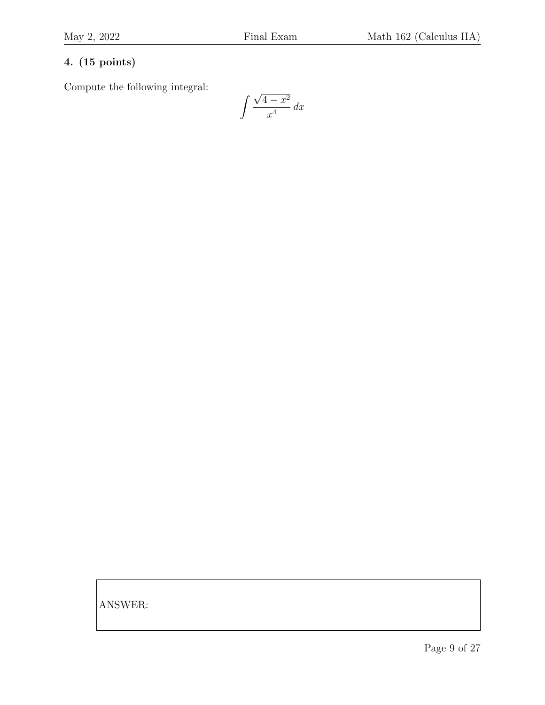## 4. (15 points)

Compute the following integral:

$$
\int \frac{\sqrt{4-x^2}}{x^4} \, dx
$$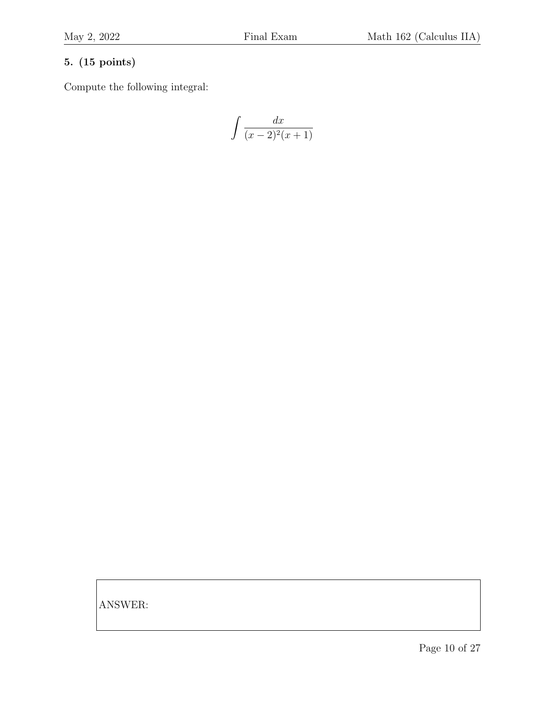#### 5. (15 points)

Compute the following integral:

$$
\int \frac{dx}{(x-2)^2(x+1)}
$$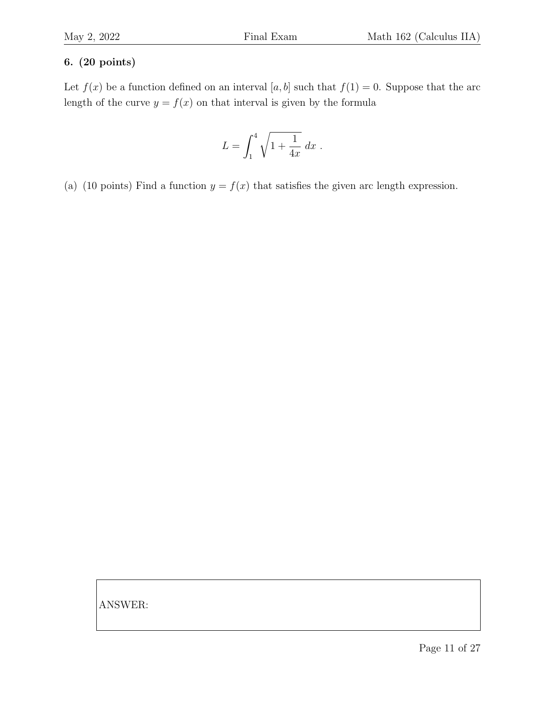#### 6. (20 points)

Let  $f(x)$  be a function defined on an interval [a, b] such that  $f(1) = 0$ . Suppose that the arc length of the curve  $y = f(x)$  on that interval is given by the formula

$$
L = \int_1^4 \sqrt{1 + \frac{1}{4x}} \, dx \; .
$$

(a) (10 points) Find a function  $y = f(x)$  that satisfies the given arc length expression.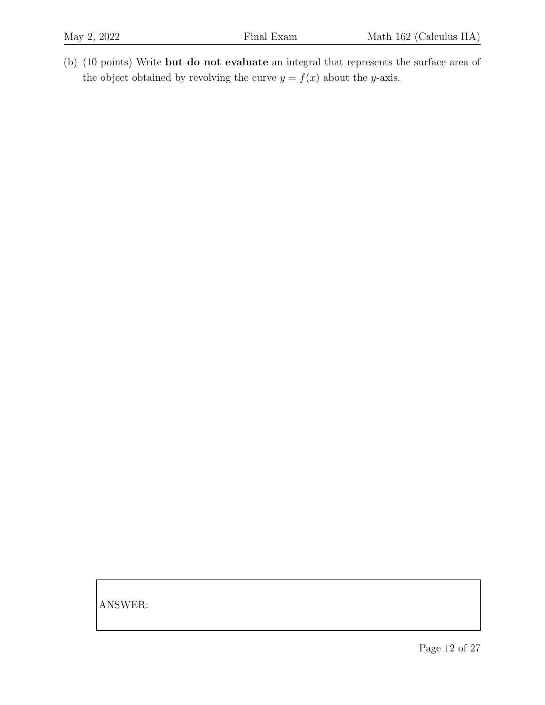(b) (10 points) Write but do not evaluate an integral that represents the surface area of the object obtained by revolving the curve  $y = f(x)$  about the y-axis.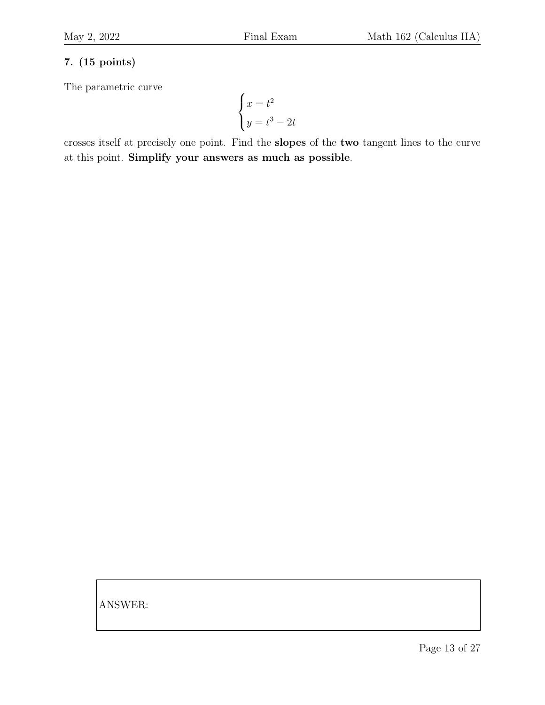## 7. (15 points)

The parametric curve

$$
\begin{cases}\nx = t^2 \\
y = t^3 - 2t\n\end{cases}
$$

crosses itself at precisely one point. Find the slopes of the two tangent lines to the curve at this point. Simplify your answers as much as possible.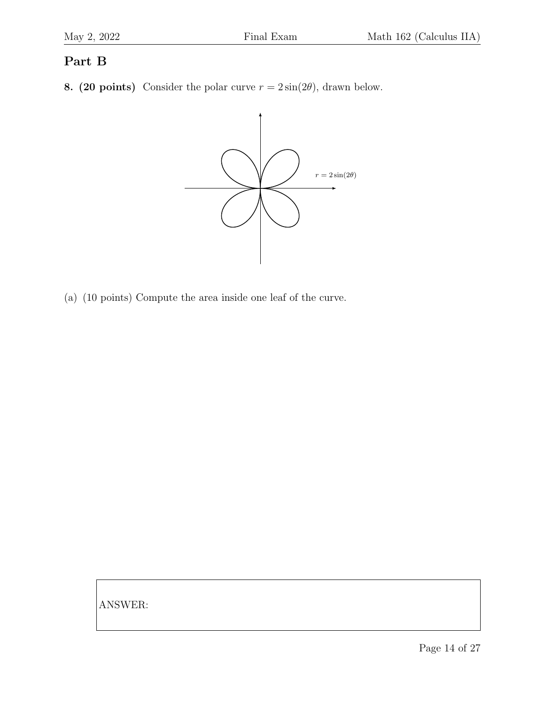# Part B

8. (20 points) Consider the polar curve  $r = 2\sin(2\theta)$ , drawn below.



(a) (10 points) Compute the area inside one leaf of the curve.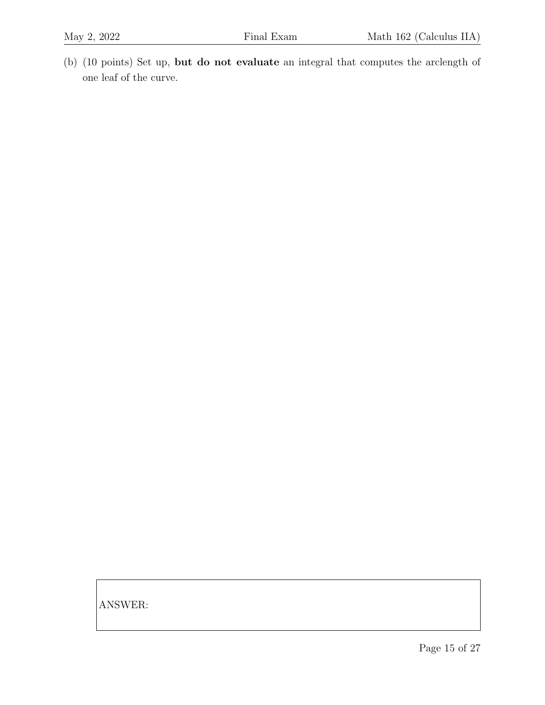(b) (10 points) Set up, but do not evaluate an integral that computes the arclength of one leaf of the curve.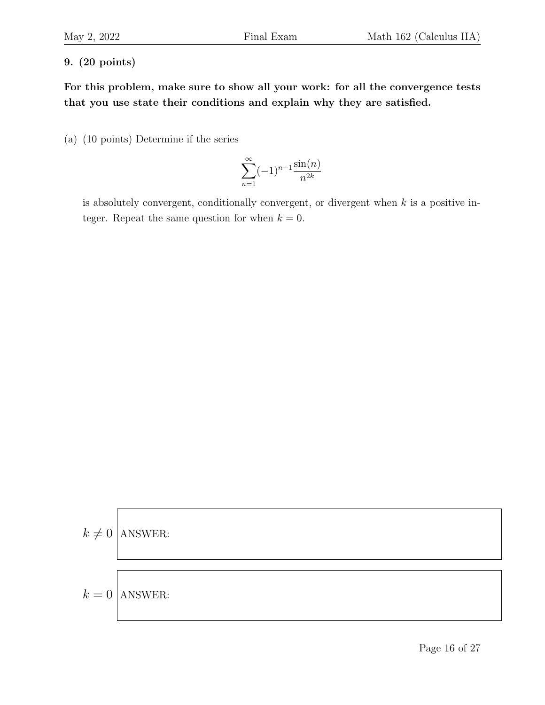#### 9. (20 points)

For this problem, make sure to show all your work: for all the convergence tests that you use state their conditions and explain why they are satisfied.

(a) (10 points) Determine if the series

$$
\sum_{n=1}^{\infty} (-1)^{n-1} \frac{\sin(n)}{n^{2k}}
$$

is absolutely convergent, conditionally convergent, or divergent when  $k$  is a positive integer. Repeat the same question for when  $k = 0$ .

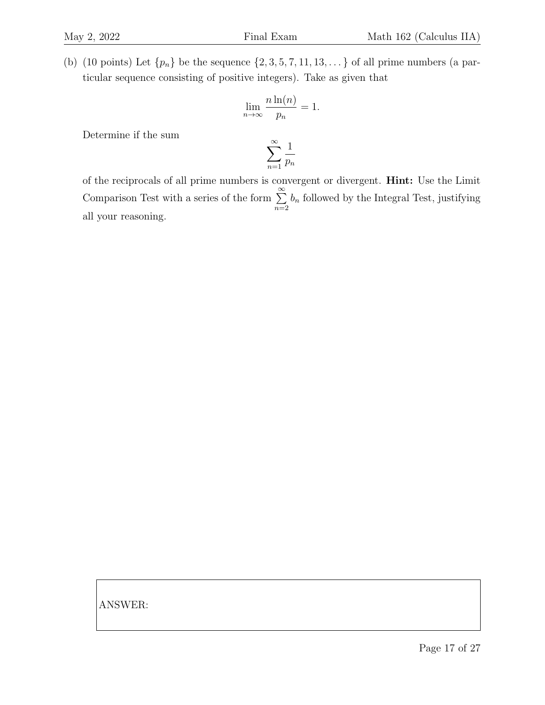(b) (10 points) Let  $\{p_n\}$  be the sequence  $\{2, 3, 5, 7, 11, 13, \ldots\}$  of all prime numbers (a particular sequence consisting of positive integers). Take as given that

$$
\lim_{n \to \infty} \frac{n \ln(n)}{p_n} = 1.
$$

Determine if the sum

$$
\sum_{n=1}^{\infty} \frac{1}{p_n}
$$

of the reciprocals of all prime numbers is convergent or divergent. Hint: Use the Limit Comparison Test with a series of the form  $\sum^{\infty}$  $n=2$  $b_n$  followed by the Integral Test, justifying all your reasoning.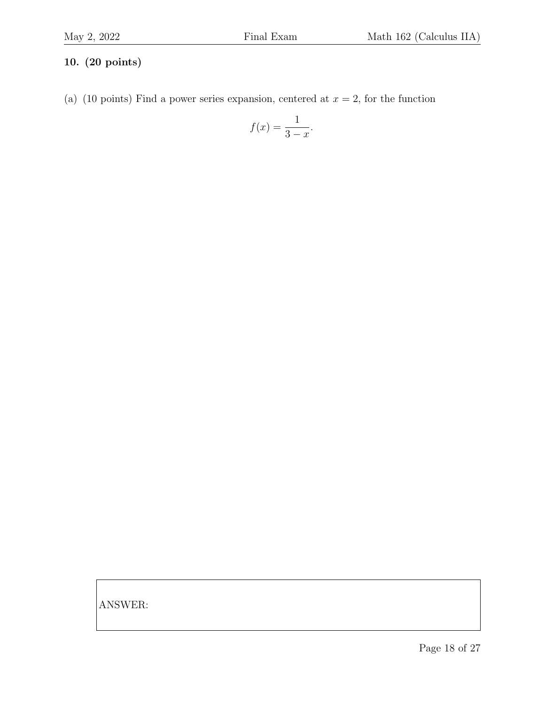#### 10. (20 points)

(a) (10 points) Find a power series expansion, centered at  $x = 2$ , for the function

$$
f(x) = \frac{1}{3-x}.
$$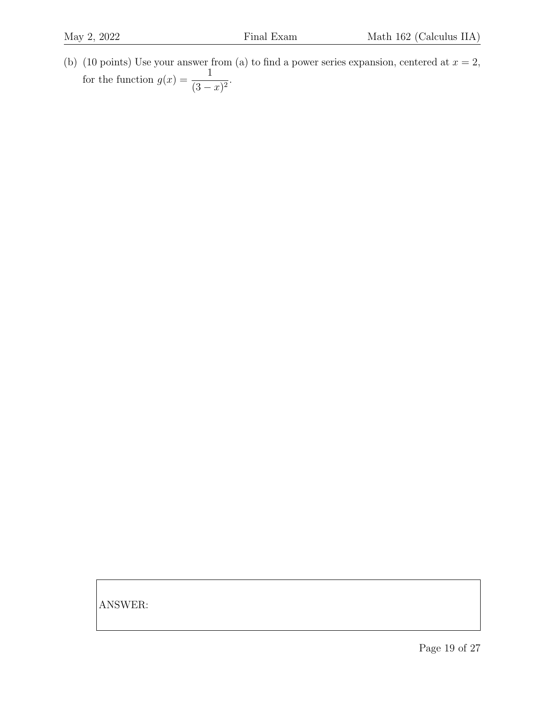(b) (10 points) Use your answer from (a) to find a power series expansion, centered at  $x = 2$ , for the function  $g(x) = \frac{1}{a}$  $\frac{1}{(3-x)^2}$ .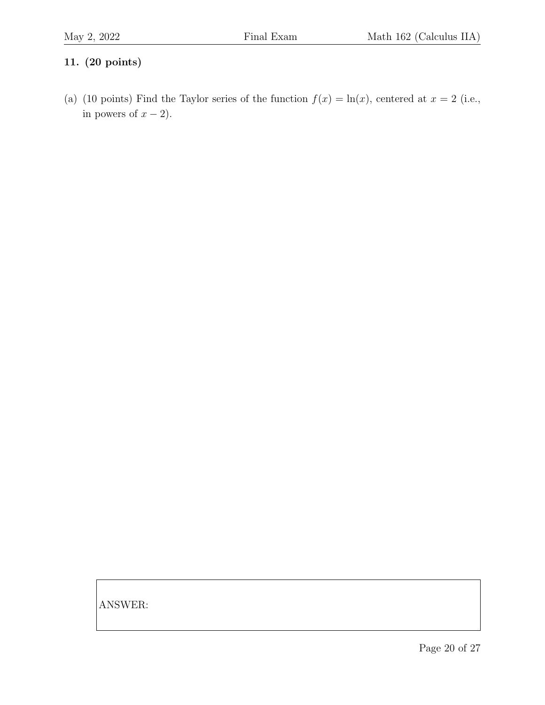#### 11. (20 points)

(a) (10 points) Find the Taylor series of the function  $f(x) = \ln(x)$ , centered at  $x = 2$  (i.e., in powers of  $x - 2$ ).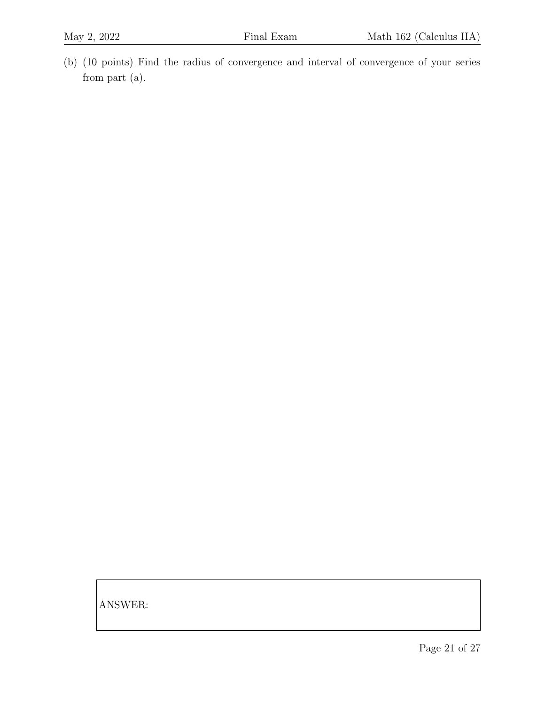(b) (10 points) Find the radius of convergence and interval of convergence of your series from part (a).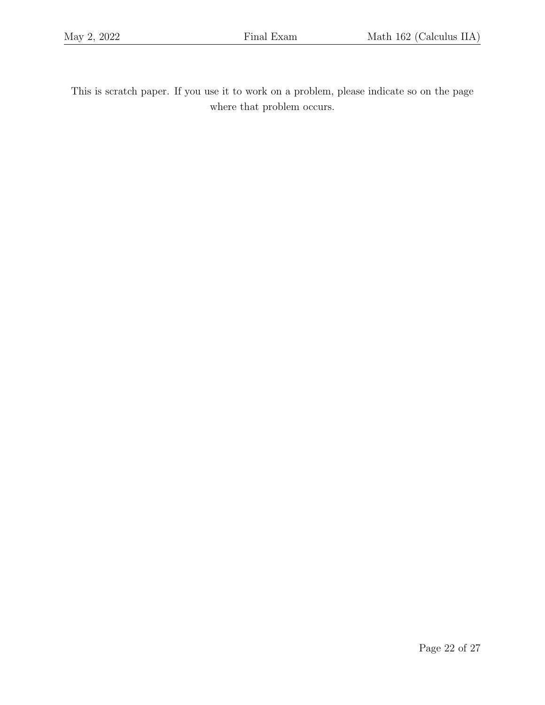This is scratch paper. If you use it to work on a problem, please indicate so on the page where that problem occurs.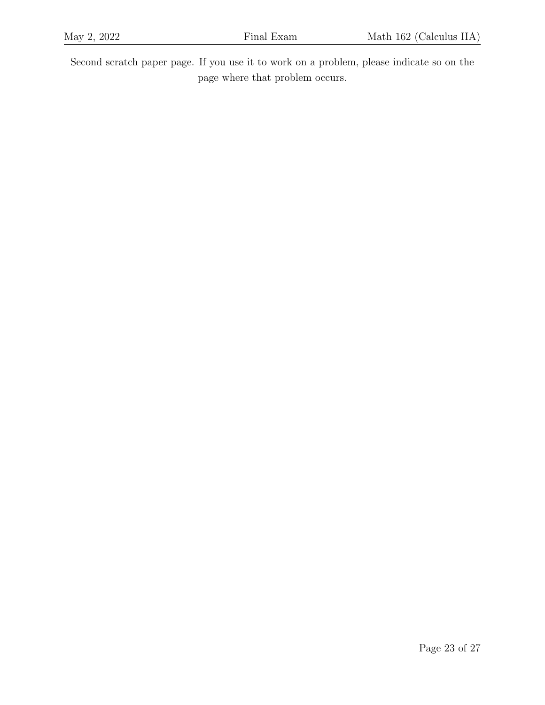Second scratch paper page. If you use it to work on a problem, please indicate so on the page where that problem occurs.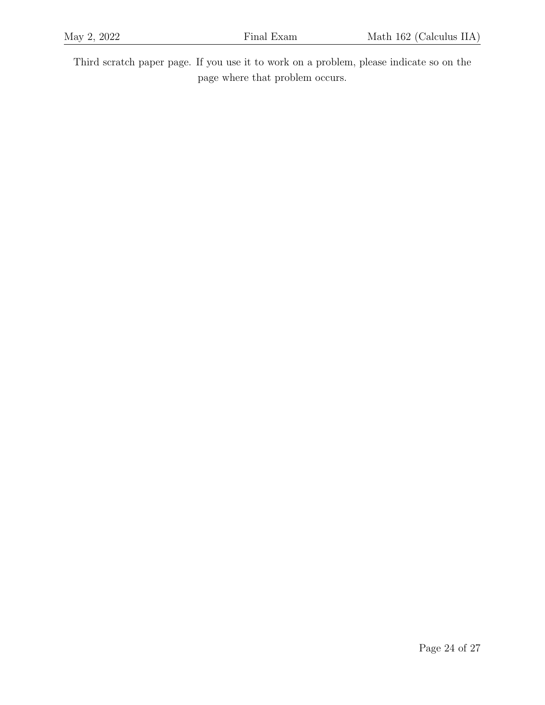Third scratch paper page. If you use it to work on a problem, please indicate so on the page where that problem occurs.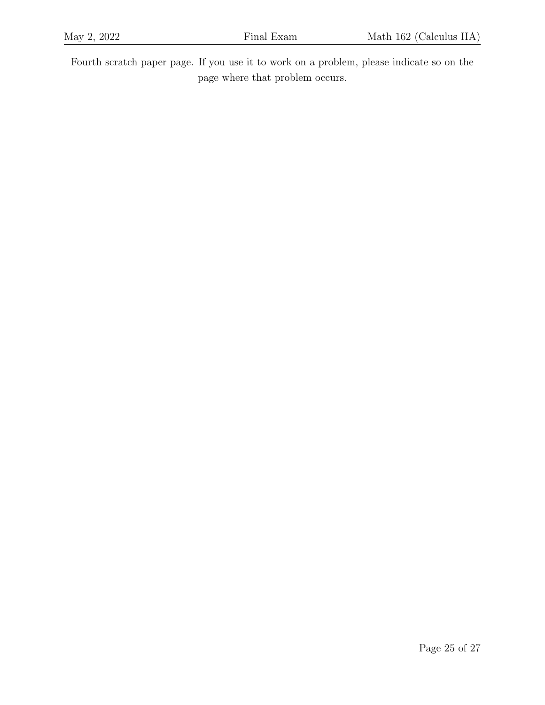Fourth scratch paper page. If you use it to work on a problem, please indicate so on the page where that problem occurs.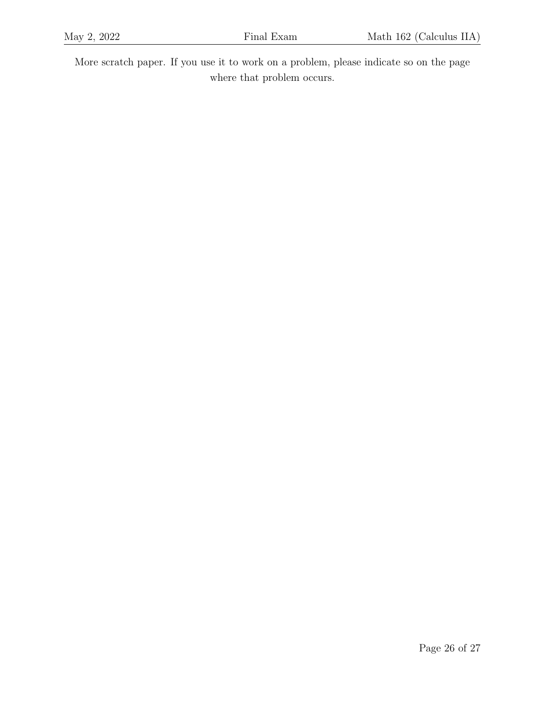More scratch paper. If you use it to work on a problem, please indicate so on the page where that problem occurs.